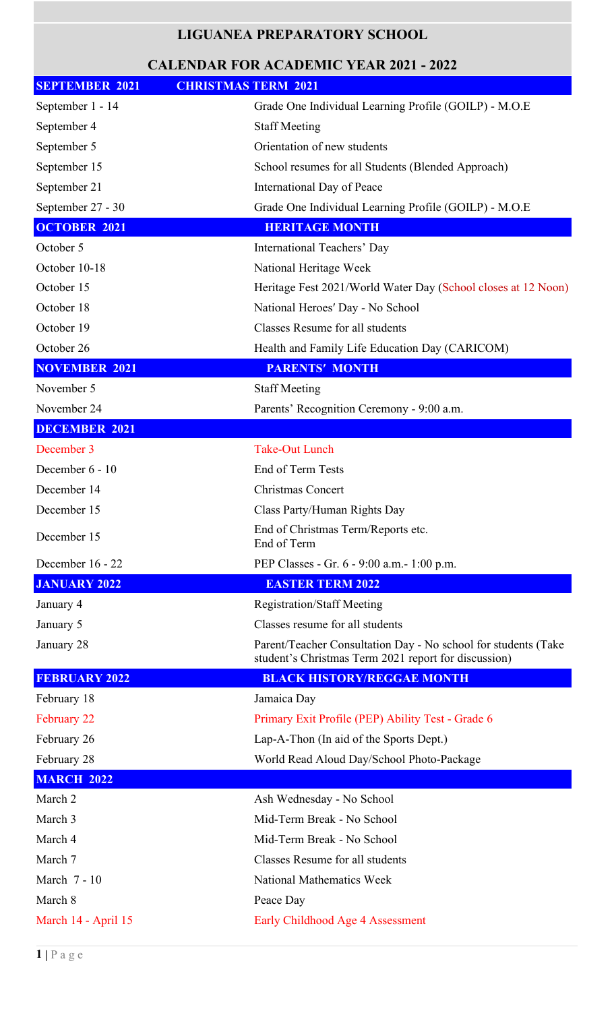## **LIGUANEA PREPARATORY SCHOOL**

## **CALENDAR FOR ACADEMIC YEAR 2021 - 2022**

| <b>SEPTEMBER 2021</b> | <b>CHRISTMAS TERM 2021</b>                                                                                             |
|-----------------------|------------------------------------------------------------------------------------------------------------------------|
| September 1 - 14      | Grade One Individual Learning Profile (GOILP) - M.O.E                                                                  |
| September 4           | <b>Staff Meeting</b>                                                                                                   |
| September 5           | Orientation of new students                                                                                            |
| September 15          | School resumes for all Students (Blended Approach)                                                                     |
| September 21          | International Day of Peace                                                                                             |
| September 27 - 30     | Grade One Individual Learning Profile (GOILP) - M.O.E                                                                  |
| <b>OCTOBER 2021</b>   | <b>HERITAGE MONTH</b>                                                                                                  |
| October 5             | International Teachers' Day                                                                                            |
| October 10-18         | National Heritage Week                                                                                                 |
| October 15            | Heritage Fest 2021/World Water Day (School closes at 12 Noon)                                                          |
| October 18            | National Heroes' Day - No School                                                                                       |
| October 19            | Classes Resume for all students                                                                                        |
| October 26            | Health and Family Life Education Day (CARICOM)                                                                         |
| <b>NOVEMBER 2021</b>  | <b>PARENTS' MONTH</b>                                                                                                  |
| November 5            | <b>Staff Meeting</b>                                                                                                   |
| November 24           | Parents' Recognition Ceremony - 9:00 a.m.                                                                              |
| <b>DECEMBER 2021</b>  |                                                                                                                        |
| December 3            | <b>Take-Out Lunch</b>                                                                                                  |
| December 6 - 10       | End of Term Tests                                                                                                      |
| December 14           | Christmas Concert                                                                                                      |
| December 15           | Class Party/Human Rights Day                                                                                           |
| December 15           | End of Christmas Term/Reports etc.<br>End of Term                                                                      |
| December 16 - 22      | PEP Classes - Gr. 6 - 9:00 a.m. - 1:00 p.m.                                                                            |
| <b>JANUARY 2022</b>   | <b>EASTER TERM 2022</b>                                                                                                |
| January 4             | <b>Registration/Staff Meeting</b>                                                                                      |
| January 5             | Classes resume for all students                                                                                        |
| January 28            | Parent/Teacher Consultation Day - No school for students (Take<br>student's Christmas Term 2021 report for discussion) |
| <b>FEBRUARY 2022</b>  | <b>BLACK HISTORY/REGGAE MONTH</b>                                                                                      |
| February 18           | Jamaica Day                                                                                                            |
| February 22           | Primary Exit Profile (PEP) Ability Test - Grade 6                                                                      |
| February 26           | Lap-A-Thon (In aid of the Sports Dept.)                                                                                |
| February 28           | World Read Aloud Day/School Photo-Package                                                                              |
| <b>MARCH 2022</b>     |                                                                                                                        |
| March 2               | Ash Wednesday - No School                                                                                              |
| March 3               | Mid-Term Break - No School                                                                                             |
| March 4               | Mid-Term Break - No School                                                                                             |
| March 7               | Classes Resume for all students                                                                                        |
| March 7 - 10          | <b>National Mathematics Week</b>                                                                                       |
| March 8               | Peace Day                                                                                                              |
| March 14 - April 15   | Early Childhood Age 4 Assessment                                                                                       |